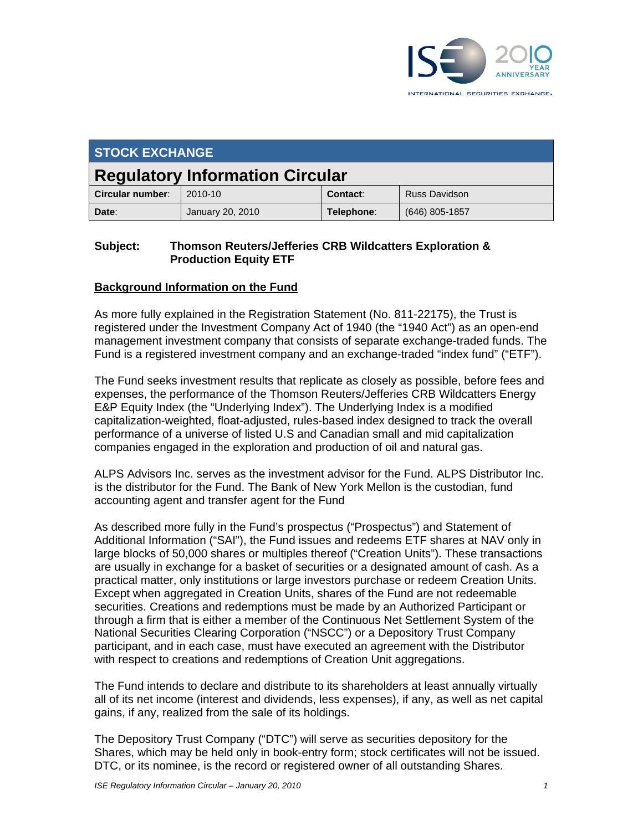

| <b>STOCK EXCHANGE</b>                  |                  |            |                      |
|----------------------------------------|------------------|------------|----------------------|
| <b>Regulatory Information Circular</b> |                  |            |                      |
| Circular number:                       | 2010-10          | Contact:   | <b>Russ Davidson</b> |
| Date:                                  | January 20, 2010 | Telephone: | $(646)$ 805-1857     |

#### **Subject: Thomson Reuters/Jefferies CRB Wildcatters Exploration & Production Equity ETF**

#### **Background Information on the Fund**

As more fully explained in the Registration Statement (No. 811-22175), the Trust is registered under the Investment Company Act of 1940 (the "1940 Act") as an open-end management investment company that consists of separate exchange-traded funds. The Fund is a registered investment company and an exchange-traded "index fund" ("ETF").

The Fund seeks investment results that replicate as closely as possible, before fees and expenses, the performance of the Thomson Reuters/Jefferies CRB Wildcatters Energy E&P Equity Index (the "Underlying Index"). The Underlying Index is a modified capitalization-weighted, float-adjusted, rules-based index designed to track the overall performance of a universe of listed U.S and Canadian small and mid capitalization companies engaged in the exploration and production of oil and natural gas.

ALPS Advisors Inc. serves as the investment advisor for the Fund. ALPS Distributor Inc. is the distributor for the Fund. The Bank of New York Mellon is the custodian, fund accounting agent and transfer agent for the Fund

As described more fully in the Fund's prospectus ("Prospectus") and Statement of Additional Information ("SAI"), the Fund issues and redeems ETF shares at NAV only in large blocks of 50,000 shares or multiples thereof ("Creation Units"). These transactions are usually in exchange for a basket of securities or a designated amount of cash. As a practical matter, only institutions or large investors purchase or redeem Creation Units. Except when aggregated in Creation Units, shares of the Fund are not redeemable securities. Creations and redemptions must be made by an Authorized Participant or through a firm that is either a member of the Continuous Net Settlement System of the National Securities Clearing Corporation ("NSCC") or a Depository Trust Company participant, and in each case, must have executed an agreement with the Distributor with respect to creations and redemptions of Creation Unit aggregations.

The Fund intends to declare and distribute to its shareholders at least annually virtually all of its net income (interest and dividends, less expenses), if any, as well as net capital gains, if any, realized from the sale of its holdings.

The Depository Trust Company ("DTC") will serve as securities depository for the Shares, which may be held only in book-entry form; stock certificates will not be issued. DTC, or its nominee, is the record or registered owner of all outstanding Shares.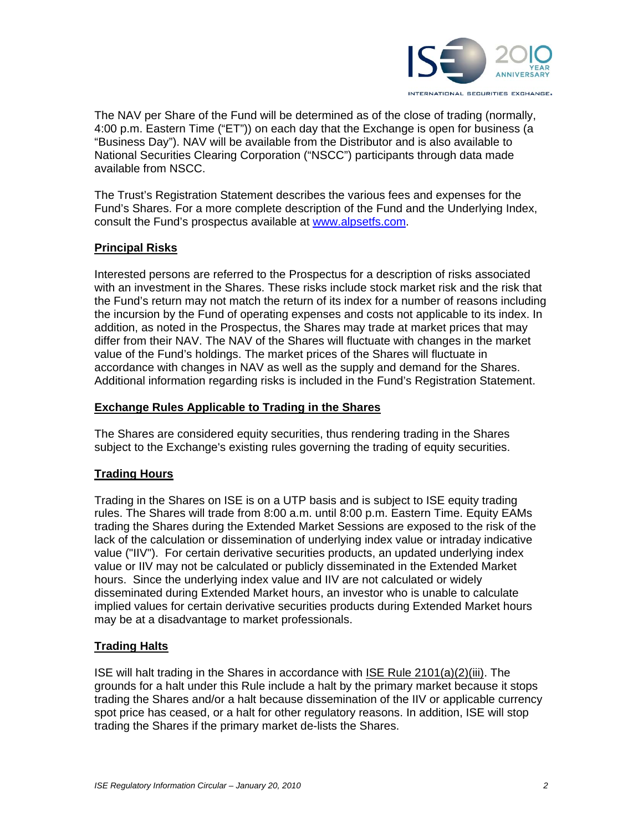

The NAV per Share of the Fund will be determined as of the close of trading (normally, 4:00 p.m. Eastern Time ("ET")) on each day that the Exchange is open for business (a "Business Day"). NAV will be available from the Distributor and is also available to National Securities Clearing Corporation ("NSCC") participants through data made available from NSCC.

The Trust's Registration Statement describes the various fees and expenses for the Fund's Shares. For a more complete description of the Fund and the Underlying Index, consult the Fund's prospectus available at www.alpsetfs.com.

# **Principal Risks**

Interested persons are referred to the Prospectus for a description of risks associated with an investment in the Shares. These risks include stock market risk and the risk that the Fund's return may not match the return of its index for a number of reasons including the incursion by the Fund of operating expenses and costs not applicable to its index. In addition, as noted in the Prospectus, the Shares may trade at market prices that may differ from their NAV. The NAV of the Shares will fluctuate with changes in the market value of the Fund's holdings. The market prices of the Shares will fluctuate in accordance with changes in NAV as well as the supply and demand for the Shares. Additional information regarding risks is included in the Fund's Registration Statement.

#### **Exchange Rules Applicable to Trading in the Shares**

The Shares are considered equity securities, thus rendering trading in the Shares subject to the Exchange's existing rules governing the trading of equity securities.

# **Trading Hours**

Trading in the Shares on ISE is on a UTP basis and is subject to ISE equity trading rules. The Shares will trade from 8:00 a.m. until 8:00 p.m. Eastern Time. Equity EAMs trading the Shares during the Extended Market Sessions are exposed to the risk of the lack of the calculation or dissemination of underlying index value or intraday indicative value ("IIV"). For certain derivative securities products, an updated underlying index value or IIV may not be calculated or publicly disseminated in the Extended Market hours. Since the underlying index value and IIV are not calculated or widely disseminated during Extended Market hours, an investor who is unable to calculate implied values for certain derivative securities products during Extended Market hours may be at a disadvantage to market professionals.

# **Trading Halts**

ISE will halt trading in the Shares in accordance with ISE Rule 2101(a)(2)(iii). The grounds for a halt under this Rule include a halt by the primary market because it stops trading the Shares and/or a halt because dissemination of the IIV or applicable currency spot price has ceased, or a halt for other regulatory reasons. In addition, ISE will stop trading the Shares if the primary market de-lists the Shares.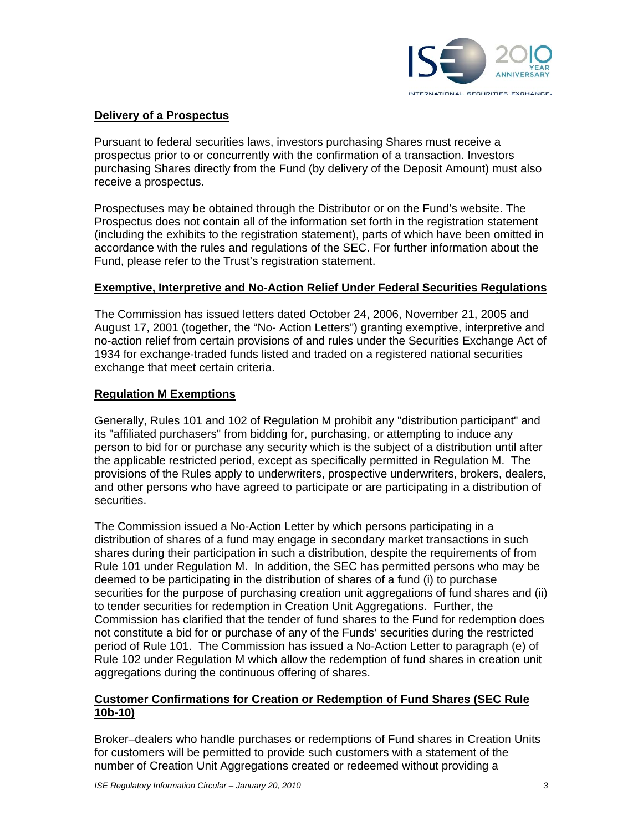

# **Delivery of a Prospectus**

Pursuant to federal securities laws, investors purchasing Shares must receive a prospectus prior to or concurrently with the confirmation of a transaction. Investors purchasing Shares directly from the Fund (by delivery of the Deposit Amount) must also receive a prospectus.

Prospectuses may be obtained through the Distributor or on the Fund's website. The Prospectus does not contain all of the information set forth in the registration statement (including the exhibits to the registration statement), parts of which have been omitted in accordance with the rules and regulations of the SEC. For further information about the Fund, please refer to the Trust's registration statement.

# **Exemptive, Interpretive and No-Action Relief Under Federal Securities Regulations**

The Commission has issued letters dated October 24, 2006, November 21, 2005 and August 17, 2001 (together, the "No- Action Letters") granting exemptive, interpretive and no-action relief from certain provisions of and rules under the Securities Exchange Act of 1934 for exchange-traded funds listed and traded on a registered national securities exchange that meet certain criteria.

#### **Regulation M Exemptions**

Generally, Rules 101 and 102 of Regulation M prohibit any "distribution participant" and its "affiliated purchasers" from bidding for, purchasing, or attempting to induce any person to bid for or purchase any security which is the subject of a distribution until after the applicable restricted period, except as specifically permitted in Regulation M. The provisions of the Rules apply to underwriters, prospective underwriters, brokers, dealers, and other persons who have agreed to participate or are participating in a distribution of securities.

The Commission issued a No-Action Letter by which persons participating in a distribution of shares of a fund may engage in secondary market transactions in such shares during their participation in such a distribution, despite the requirements of from Rule 101 under Regulation M. In addition, the SEC has permitted persons who may be deemed to be participating in the distribution of shares of a fund (i) to purchase securities for the purpose of purchasing creation unit aggregations of fund shares and (ii) to tender securities for redemption in Creation Unit Aggregations. Further, the Commission has clarified that the tender of fund shares to the Fund for redemption does not constitute a bid for or purchase of any of the Funds' securities during the restricted period of Rule 101. The Commission has issued a No-Action Letter to paragraph (e) of Rule 102 under Regulation M which allow the redemption of fund shares in creation unit aggregations during the continuous offering of shares.

#### **Customer Confirmations for Creation or Redemption of Fund Shares (SEC Rule 10b-10)**

Broker–dealers who handle purchases or redemptions of Fund shares in Creation Units for customers will be permitted to provide such customers with a statement of the number of Creation Unit Aggregations created or redeemed without providing a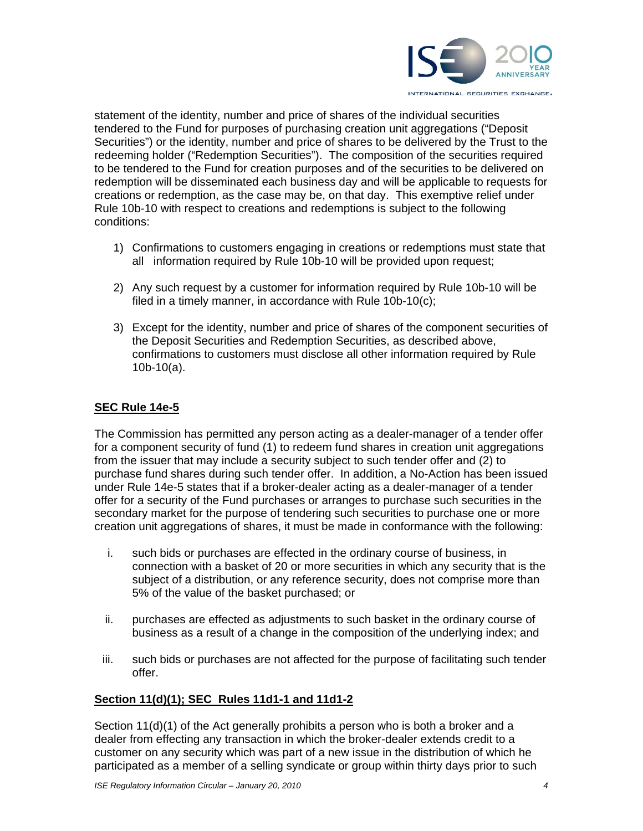

statement of the identity, number and price of shares of the individual securities tendered to the Fund for purposes of purchasing creation unit aggregations ("Deposit Securities") or the identity, number and price of shares to be delivered by the Trust to the redeeming holder ("Redemption Securities"). The composition of the securities required to be tendered to the Fund for creation purposes and of the securities to be delivered on redemption will be disseminated each business day and will be applicable to requests for creations or redemption, as the case may be, on that day. This exemptive relief under Rule 10b-10 with respect to creations and redemptions is subject to the following conditions:

- 1) Confirmations to customers engaging in creations or redemptions must state that all information required by Rule 10b-10 will be provided upon request;
- 2) Any such request by a customer for information required by Rule 10b-10 will be filed in a timely manner, in accordance with Rule 10b-10(c);
- 3) Except for the identity, number and price of shares of the component securities of the Deposit Securities and Redemption Securities, as described above, confirmations to customers must disclose all other information required by Rule 10b-10(a).

#### **SEC Rule 14e-5**

The Commission has permitted any person acting as a dealer-manager of a tender offer for a component security of fund (1) to redeem fund shares in creation unit aggregations from the issuer that may include a security subject to such tender offer and (2) to purchase fund shares during such tender offer. In addition, a No-Action has been issued under Rule 14e-5 states that if a broker-dealer acting as a dealer-manager of a tender offer for a security of the Fund purchases or arranges to purchase such securities in the secondary market for the purpose of tendering such securities to purchase one or more creation unit aggregations of shares, it must be made in conformance with the following:

- i. such bids or purchases are effected in the ordinary course of business, in connection with a basket of 20 or more securities in which any security that is the subject of a distribution, or any reference security, does not comprise more than 5% of the value of the basket purchased; or
- ii. purchases are effected as adjustments to such basket in the ordinary course of business as a result of a change in the composition of the underlying index; and
- iii. such bids or purchases are not affected for the purpose of facilitating such tender offer.

#### **Section 11(d)(1); SEC Rules 11d1-1 and 11d1-2**

Section 11(d)(1) of the Act generally prohibits a person who is both a broker and a dealer from effecting any transaction in which the broker-dealer extends credit to a customer on any security which was part of a new issue in the distribution of which he participated as a member of a selling syndicate or group within thirty days prior to such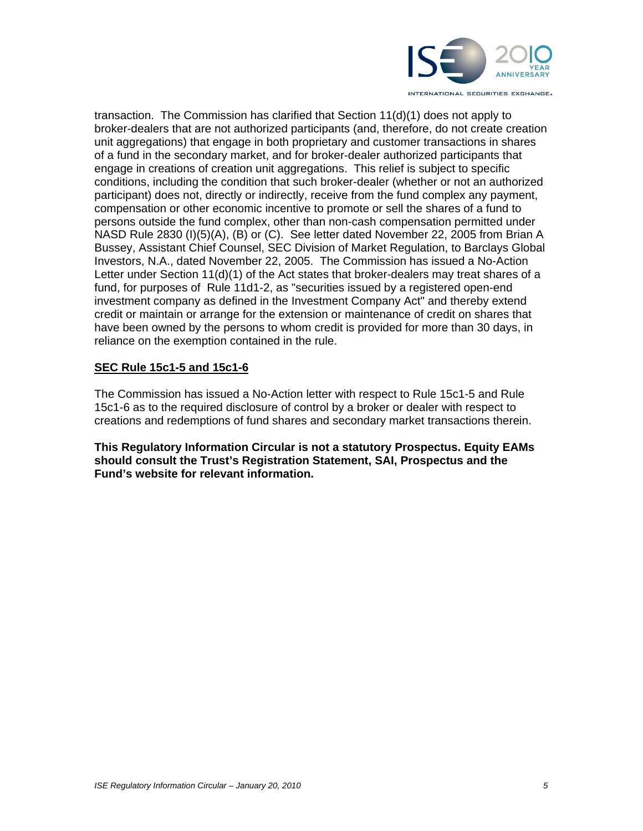

transaction. The Commission has clarified that Section 11(d)(1) does not apply to broker-dealers that are not authorized participants (and, therefore, do not create creation unit aggregations) that engage in both proprietary and customer transactions in shares of a fund in the secondary market, and for broker-dealer authorized participants that engage in creations of creation unit aggregations. This relief is subject to specific conditions, including the condition that such broker-dealer (whether or not an authorized participant) does not, directly or indirectly, receive from the fund complex any payment, compensation or other economic incentive to promote or sell the shares of a fund to persons outside the fund complex, other than non-cash compensation permitted under NASD Rule 2830 (I)(5)(A), (B) or (C). See letter dated November 22, 2005 from Brian A Bussey, Assistant Chief Counsel, SEC Division of Market Regulation, to Barclays Global Investors, N.A., dated November 22, 2005. The Commission has issued a No-Action Letter under Section 11(d)(1) of the Act states that broker-dealers may treat shares of a fund, for purposes of Rule 11d1-2, as "securities issued by a registered open-end investment company as defined in the Investment Company Act" and thereby extend credit or maintain or arrange for the extension or maintenance of credit on shares that have been owned by the persons to whom credit is provided for more than 30 days, in reliance on the exemption contained in the rule.

#### **SEC Rule 15c1-5 and 15c1-6**

The Commission has issued a No-Action letter with respect to Rule 15c1-5 and Rule 15c1-6 as to the required disclosure of control by a broker or dealer with respect to creations and redemptions of fund shares and secondary market transactions therein.

**This Regulatory Information Circular is not a statutory Prospectus. Equity EAMs should consult the Trust's Registration Statement, SAI, Prospectus and the Fund's website for relevant information.**